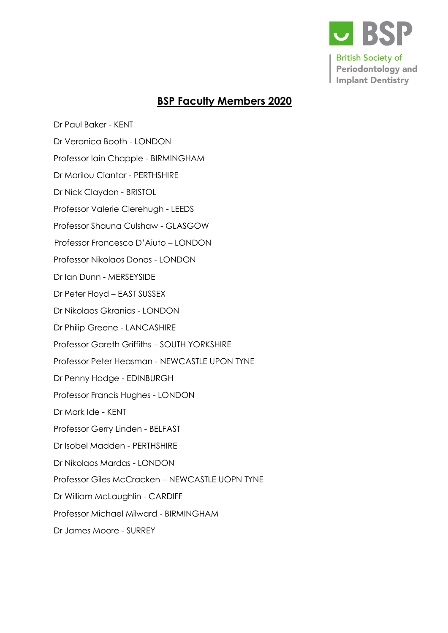

## **BSP Faculty Members 2020**

[Dr Paul Baker](https://admin.bsperio.org.uk/member/index.php?action=edit&id=417) - KENT

Dr Veronica Booth - LONDON

[Professor Iain Chapple](https://admin.bsperio.org.uk/member/index.php?action=edit&id=781) - BIRMINGHAM

[Dr Marilou Ciantar](https://admin.bsperio.org.uk/member/index.php?action=edit&id=548) - PERTHSHIRE

[Dr Nick Claydon](https://admin.bsperio.org.uk/member/index.php?action=edit&id=337) [-](https://admin.bsperio.org.uk/member/index.php?action=edit&id=337) BRISTOL

[Professor Valerie Clerehugh](https://admin.bsperio.org.uk/member/index.php?action=edit&id=786) - LEEDS

Professor Shauna Culsha[w](https://admin.bsperio.org.uk/member/index.php?action=edit&id=1426) - GLASGOW

Professor Francesco D'Aiuto – LONDON

[Professor Nikolaos Donos](https://admin.bsperio.org.uk/member/index.php?action=edit&id=251) [-](https://admin.bsperio.org.uk/member/index.php?action=edit&id=251) LONDON

[Dr Ian Dunn](https://admin.bsperio.org.uk/member/index.php?action=edit&id=25) [-](https://admin.bsperio.org.uk/member/index.php?action=edit&id=25) MERSEYSIDE

[Dr Peter Floyd](https://admin.bsperio.org.uk/member/index.php?action=edit&id=755) – EAST SUSSEX

[Dr Nikolaos Gkranias](https://admin.bsperio.org.uk/member/index.php?action=edit&id=873) - LONDON

[Dr Philip Greene](https://admin.bsperio.org.uk/member/index.php?action=edit&id=746) [-](https://admin.bsperio.org.uk/member/index.php?action=edit&id=746) LANCASHIRE

[Professor Gareth Griffiths](https://admin.bsperio.org.uk/member/index.php?action=edit&id=745) – SOUTH YORKSHIRE

[Professor Peter Heasman](https://admin.bsperio.org.uk/member/index.php?action=edit&id=737) [-](https://admin.bsperio.org.uk/member/index.php?action=edit&id=737) NEWCASTLE UPON TYNE

[Dr Penny Hodge](https://admin.bsperio.org.uk/member/index.php?action=edit&id=381) - EDINBURGH

[Professor Francis Hughes](https://admin.bsperio.org.uk/member/index.php?action=edit&id=731) - LONDON

[Dr Mark Ide](https://admin.bsperio.org.uk/member/index.php?action=edit&id=496) - KENT

[Professor Gerry Linden](https://admin.bsperio.org.uk/member/index.php?action=edit&id=712) - BELFAST

[Dr Isobel Madden](https://admin.bsperio.org.uk/member/index.php?action=edit&id=710) [-](https://admin.bsperio.org.uk/member/index.php?action=edit&id=710) PERTHSHIRE

[Dr Nikolaos Mardas](https://admin.bsperio.org.uk/member/index.php?action=edit&id=857) - LONDON

Professor Giles McCracken – NEWCASTLE UOPN TYNE

[Dr William McLaughlin](https://admin.bsperio.org.uk/member/index.php?action=edit&id=822) [-](https://admin.bsperio.org.uk/member/index.php?action=edit&id=822) CARDIFF

Professor Michael Milwar[d](https://admin.bsperio.org.uk/member/index.php?action=edit&id=653) - BIRMINGHAM

[Dr James Moore](https://admin.bsperio.org.uk/member/index.php?action=edit&id=544) [-](https://admin.bsperio.org.uk/member/index.php?action=edit&id=544) SURREY